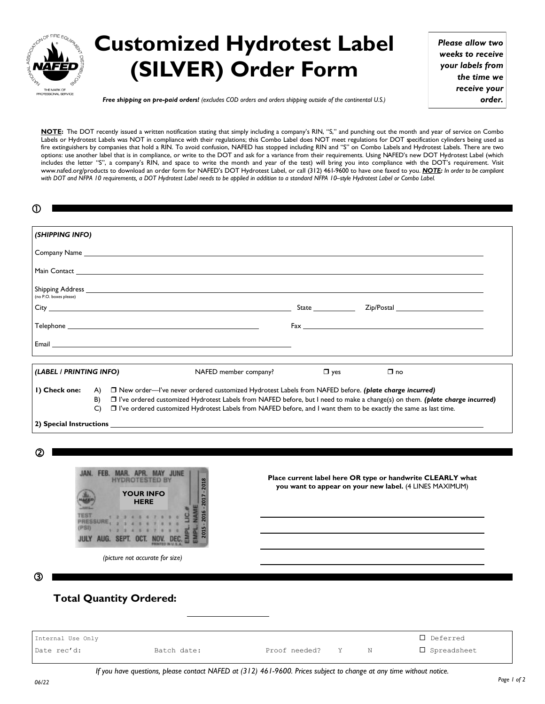

## **Customized Hydrotest Label (SILVER) Order Form**

*Please allow two weeks to receive your labels from the time we receive your order.*

*Free shipping on pre-paid orders! (excludes COD orders and orders shipping outside of the continental U.S.)*

**NOTE:** The DOT recently issued a written notification stating that simply including a company's RIN, "S," and punching out the month and year of service on Combo Labels or Hydrotest Labels was NOT in compliance with their regulations; this Combo Label does NOT meet regulations for DOT specification cylinders being used as fire extinguishers by companies that hold a RIN. To avoid confusion, NAFED has stopped including RIN and "S" on Combo Labels and Hydrotest Labels. There are two options: use another label that is in compliance, or write to the DOT and ask for a variance from their requirements. Using NAFED's new DOT Hydrotest Label (which includes the letter "S", a company's RIN, and space to write the month and year of the test) will bring you into compliance with the DOT's requirement. Visit www.nafed.org/products to download an order form for NAFED's DOT Hydrotest Label, or call (312) 461-9600 to have one faxed to you. *NOTE: In order to be compliant with DOT and NFPA 10 requirements, a DOT Hydrotest Label needs to be applied in addition to a standard NFPA 10–style Hydrotest Label or Combo Label.*

| (SHIPPING INFO)                                                                                                                                                         |                                                                                                                                                                                                                                                     |
|-------------------------------------------------------------------------------------------------------------------------------------------------------------------------|-----------------------------------------------------------------------------------------------------------------------------------------------------------------------------------------------------------------------------------------------------|
|                                                                                                                                                                         |                                                                                                                                                                                                                                                     |
|                                                                                                                                                                         |                                                                                                                                                                                                                                                     |
|                                                                                                                                                                         |                                                                                                                                                                                                                                                     |
| (no P.O. boxes please)                                                                                                                                                  | City Contract City Contract City Contract City Contract City Contract City Contract City Contract City Contract City Contract City Contract City Contract City Contract City Contract City Contract City Contract City Contrac                      |
|                                                                                                                                                                         |                                                                                                                                                                                                                                                     |
|                                                                                                                                                                         |                                                                                                                                                                                                                                                     |
| (LABEL / PRINTING INFO)                                                                                                                                                 | NAFED member company?<br>$\Box$ yes<br>$\square$ no                                                                                                                                                                                                 |
| B)<br>C)                                                                                                                                                                | □ I've ordered customized Hydrotest Labels from NAFED before, but I need to make a change(s) on them. (plate charge incurred)<br>□ I've ordered customized Hydrotest Labels from NAFED before, and I want them to be exactly the same as last time. |
| JAN. FEB. MAR. APR. MAY JUNE<br><b>HYDROTESTED BY</b><br>2016 - 2017 - 2018<br><b>YOUR INFO</b><br><b>HERE</b><br><b>TEST-</b><br><b>PRESSURE,</b><br>2 1 4 1 5 7 8 9 9 | Place current label here OR type or handwrite CLEARLY what<br>you want to appear on your new label. (4 LINES MAXIMUM)                                                                                                                               |
| 2015<br>3 4 5 6 7 8 9 8<br>JULY AUG. SEPT. OCT. NOV. DEC.                                                                                                               |                                                                                                                                                                                                                                                     |
| C<br>(picture not accurate for size)                                                                                                                                    |                                                                                                                                                                                                                                                     |
| ③<br><b>Total Quantity Ordered:</b>                                                                                                                                     |                                                                                                                                                                                                                                                     |
| Internal Use Only                                                                                                                                                       | D Deferred                                                                                                                                                                                                                                          |

## **Total Quantity Ordered:**